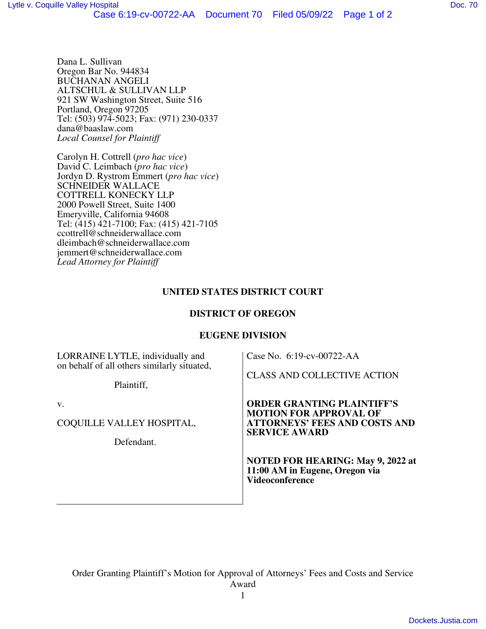Dana L. Sullivan Oregon Bar No. 944834 BUCHANAN ANGELI ALTSCHUL & SULLIVAN LLP 921 SW Washington Street, Suite 516 Portland, Oregon 97205 Tel: (503) 974-5023; Fax: (971) 230-0337 dana@baaslaw.com *Local Counsel for Plaintiff* 

Carolyn H. Cottrell (*pro hac vice*) David C. Leimbach (*pro hac vice*) Jordyn D. Rystrom Emmert (*pro hac vice*) SCHNEIDER WALLACE COTTRELL KONECKY LLP 2000 Powell Street, Suite 1400 Emeryville, California 94608 Tel: (415) 421-7100; Fax: (415) 421-7105 ccottrell@schneiderwallace.com dleimbach@schneiderwallace.com jemmert@schneiderwallace.com *Lead Attorney for Plaintiff*

# **UNITED STATES DISTRICT COURT**

# **DISTRICT OF OREGON**

## **EUGENE DIVISION**

| LORRAINE LYTLE, individually and<br>on behalf of all others similarly situated, | Case No. 6:19-cv-00722-AA<br><b>CLASS AND COLLECTIVE ACTION</b>                                                                    |
|---------------------------------------------------------------------------------|------------------------------------------------------------------------------------------------------------------------------------|
| Plaintiff,                                                                      |                                                                                                                                    |
| v.<br>COQUILLE VALLEY HOSPITAL,                                                 | <b>ORDER GRANTING PLAINTIFF'S</b><br><b>MOTION FOR APPROVAL OF</b><br><b>ATTORNEYS' FEES AND COSTS AND</b><br><b>SERVICE AWARD</b> |
| Defendant.                                                                      | <b>NOTED FOR HEARING: May 9, 2022 at</b><br>11:00 AM in Eugene, Oregon via<br><b>Videoconference</b>                               |

Order Granting Plaintiff's Motion for Approval of Attorneys' Fees and Costs and Service Award

1